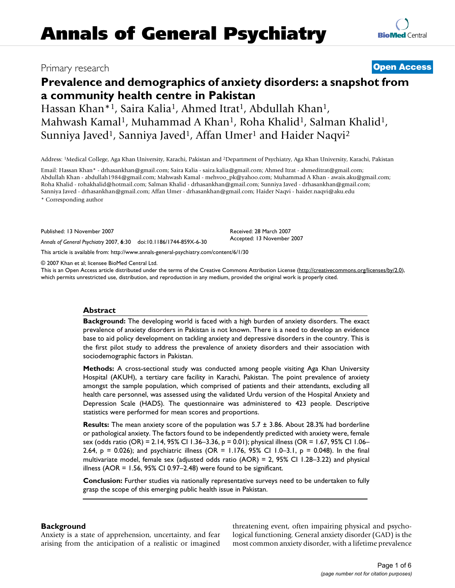# Primary research **[Open Access](http://www.biomedcentral.com/info/about/charter/)**

# **Prevalence and demographics of anxiety disorders: a snapshot from a community health centre in Pakistan**

Hassan Khan\*<sup>1</sup>, Saira Kalia<sup>1</sup>, Ahmed Itrat<sup>1</sup>, Abdullah Khan<sup>1</sup>, Mahwash Kamal<sup>1</sup>, Muhammad A Khan<sup>1</sup>, Roha Khalid<sup>1</sup>, Salman Khalid<sup>1</sup>, Sunniya Javed<sup>1</sup>, Sanniya Javed<sup>1</sup>, Affan Umer<sup>1</sup> and Haider Naqvi<sup>2</sup>

Address: 1Medical College, Aga Khan University, Karachi, Pakistan and 2Department of Psychiatry, Aga Khan University, Karachi, Pakistan

Email: Hassan Khan\* - drhasankhan@gmail.com; Saira Kalia - saira.kalia@gmail.com; Ahmed Itrat - ahmeditrat@gmail.com; Abdullah Khan - abdullah1984@gmail.com; Mahwash Kamal - mehvoo\_pk@yahoo.com; Muhammad A Khan - awais.aku@gmail.com; Roha Khalid - rohakhalid@hotmail.com; Salman Khalid - drhasankhan@gmail.com; Sunniya Javed - drhasankhan@gmail.com; Sanniya Javed - drhasankhan@gmail.com; Affan Umer - drhasankhan@gmail.com; Haider Naqvi - haider.naqvi@aku.edu

\* Corresponding author

Published: 13 November 2007

*Annals of General Psychiatry* 2007, **6**:30 doi:10.1186/1744-859X-6-30

[This article is available from: http://www.annals-general-psychiatry.com/content/6/1/30](http://www.annals-general-psychiatry.com/content/6/1/30)

© 2007 Khan et al; licensee BioMed Central Ltd.

This is an Open Access article distributed under the terms of the Creative Commons Attribution License [\(http://creativecommons.org/licenses/by/2.0\)](http://creativecommons.org/licenses/by/2.0), which permits unrestricted use, distribution, and reproduction in any medium, provided the original work is properly cited.

Received: 28 March 2007 Accepted: 13 November 2007

# **Abstract**

**Background:** The developing world is faced with a high burden of anxiety disorders. The exact prevalence of anxiety disorders in Pakistan is not known. There is a need to develop an evidence base to aid policy development on tackling anxiety and depressive disorders in the country. This is the first pilot study to address the prevalence of anxiety disorders and their association with sociodemographic factors in Pakistan.

**Methods:** A cross-sectional study was conducted among people visiting Aga Khan University Hospital (AKUH), a tertiary care facility in Karachi, Pakistan. The point prevalence of anxiety amongst the sample population, which comprised of patients and their attendants, excluding all health care personnel, was assessed using the validated Urdu version of the Hospital Anxiety and Depression Scale (HADS). The questionnaire was administered to 423 people. Descriptive statistics were performed for mean scores and proportions.

**Results:** The mean anxiety score of the population was 5.7  $\pm$  3.86. About 28.3% had borderline or pathological anxiety. The factors found to be independently predicted with anxiety were, female sex (odds ratio (OR) = 2.14, 95% CI 1.36–3.36, p = 0.01); physical illness (OR = 1.67, 95% CI 1.06– 2.64, p = 0.026); and psychiatric illness (OR = 1.176, 95% CI 1.0–3.1, p = 0.048). In the final multivariate model, female sex (adjusted odds ratio (AOR) = 2, 95% CI 1.28–3.22) and physical illness (AOR = 1.56, 95% CI 0.97–2.48) were found to be significant.

**Conclusion:** Further studies via nationally representative surveys need to be undertaken to fully grasp the scope of this emerging public health issue in Pakistan.

# **Background**

Anxiety is a state of apprehension, uncertainty, and fear arising from the anticipation of a realistic or imagined threatening event, often impairing physical and psychological functioning. General anxiety disorder (GAD) is the most common anxiety disorder, with a lifetime prevalence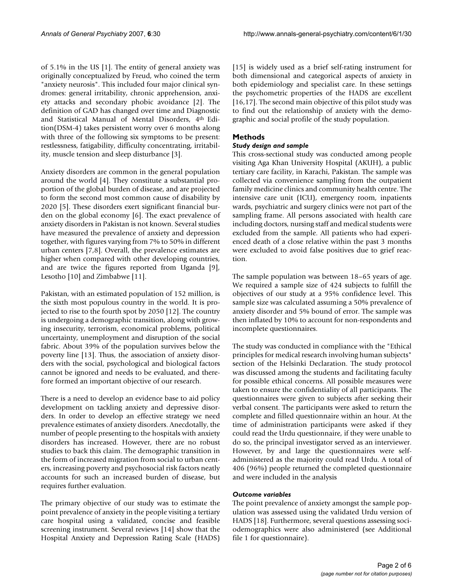of 5.1% in the US [1]. The entity of general anxiety was originally conceptualized by Freud, who coined the term "anxiety neurosis". This included four major clinical syndromes: general irritability, chronic apprehension, anxiety attacks and secondary phobic avoidance [2]. The definition of GAD has changed over time and Diagnostic and Statistical Manual of Mental Disorders, 4th Edition(DSM-4) takes persistent worry over 6 months along with three of the following six symptoms to be present: restlessness, fatigability, difficulty concentrating, irritability, muscle tension and sleep disturbance [3].

Anxiety disorders are common in the general population around the world [4]. They constitute a substantial proportion of the global burden of disease, and are projected to form the second most common cause of disability by 2020 [5]. These disorders exert significant financial burden on the global economy [6]. The exact prevalence of anxiety disorders in Pakistan is not known. Several studies have measured the prevalence of anxiety and depression together, with figures varying from 7% to 50% in different urban centers [7,8]. Overall, the prevalence estimates are higher when compared with other developing countries, and are twice the figures reported from Uganda [9], Lesotho [10] and Zimbabwe [11].

Pakistan, with an estimated population of 152 million, is the sixth most populous country in the world. It is projected to rise to the fourth spot by 2050 [12]. The country is undergoing a demographic transition, along with growing insecurity, terrorism, economical problems, political uncertainty, unemployment and disruption of the social fabric. About 39% of the population survives below the poverty line [13]. Thus, the association of anxiety disorders with the social, psychological and biological factors cannot be ignored and needs to be evaluated, and therefore formed an important objective of our research.

There is a need to develop an evidence base to aid policy development on tackling anxiety and depressive disorders. In order to develop an effective strategy we need prevalence estimates of anxiety disorders. Anecdotally, the number of people presenting to the hospitals with anxiety disorders has increased. However, there are no robust studies to back this claim. The demographic transition in the form of increased migration from social to urban centers, increasing poverty and psychosocial risk factors neatly accounts for such an increased burden of disease, but requires further evaluation.

The primary objective of our study was to estimate the point prevalence of anxiety in the people visiting a tertiary care hospital using a validated, concise and feasible screening instrument. Several reviews [14] show that the Hospital Anxiety and Depression Rating Scale (HADS)

[15] is widely used as a brief self-rating instrument for both dimensional and categorical aspects of anxiety in both epidemiology and specialist care. In these settings the psychometric properties of the HADS are excellent [16,17]. The second main objective of this pilot study was to find out the relationship of anxiety with the demographic and social profile of the study population.

## **Methods**

### *Study design and sample*

This cross-sectional study was conducted among people visiting Aga Khan University Hospital (AKUH), a public tertiary care facility, in Karachi, Pakistan. The sample was collected via convenience sampling from the outpatient family medicine clinics and community health centre. The intensive care unit (ICU), emergency room, inpatients wards, psychiatric and surgery clinics were not part of the sampling frame. All persons associated with health care including doctors, nursing staff and medical students were excluded from the sample. All patients who had experienced death of a close relative within the past 3 months were excluded to avoid false positives due to grief reaction.

The sample population was between 18–65 years of age. We required a sample size of 424 subjects to fulfill the objectives of our study at a 95% confidence level. This sample size was calculated assuming a 50% prevalence of anxiety disorder and 5% bound of error. The sample was then inflated by 10% to account for non-respondents and incomplete questionnaires.

The study was conducted in compliance with the "Ethical principles for medical research involving human subjects" section of the Helsinki Declaration. The study protocol was discussed among the students and facilitating faculty for possible ethical concerns. All possible measures were taken to ensure the confidentiality of all participants. The questionnaires were given to subjects after seeking their verbal consent. The participants were asked to return the complete and filled questionnaire within an hour. At the time of administration participants were asked if they could read the Urdu questionnaire, if they were unable to do so, the principal investigator served as an interviewer. However, by and large the questionnaires were selfadministered as the majority could read Urdu. A total of 406 (96%) people returned the completed questionnaire and were included in the analysis

### *Outcome variables*

The point prevalence of anxiety amongst the sample population was assessed using the validated Urdu version of HADS [18]. Furthermore, several questions assessing sociodemographics were also administered (see Additional file 1 for questionnaire).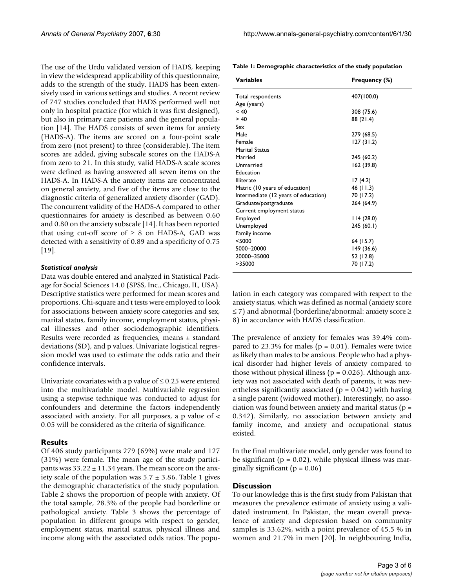The use of the Urdu validated version of HADS, keeping in view the widespread applicability of this questionnaire, adds to the strength of the study. HADS has been extensively used in various settings and studies. A recent review of 747 studies concluded that HADS performed well not only in hospital practice (for which it was first designed), but also in primary care patients and the general population [14]. The HADS consists of seven items for anxiety (HADS-A). The items are scored on a four-point scale from zero (not present) to three (considerable). The item scores are added, giving subscale scores on the HADS-A from zero to 21. In this study, valid HADS-A scale scores were defined as having answered all seven items on the HADS-A. In HADS-A the anxiety items are concentrated on general anxiety, and five of the items are close to the diagnostic criteria of generalized anxiety disorder (GAD). The concurrent validity of the HADS-A compared to other questionnaires for anxiety is described as between 0.60 and 0.80 on the anxiety subscale [14]. It has been reported that using cut-off score of  $\geq 8$  on HADS-A, GAD was detected with a sensitivity of 0.89 and a specificity of 0.75 [19].

### *Statistical analysis*

Data was double entered and analyzed in Statistical Package for Social Sciences 14.0 (SPSS, Inc., Chicago, IL, USA). Descriptive statistics were performed for mean scores and proportions. Chi-square and t tests were employed to look for associations between anxiety score categories and sex, marital status, family income, employment status, physical illnesses and other sociodemographic identifiers. Results were recorded as frequencies, means ± standard deviations (SD), and p values. Univariate logistical regression model was used to estimate the odds ratio and their confidence intervals.

Univariate covariates with a p value of  $\leq 0.25$  were entered into the multivariable model. Multivariable regression using a stepwise technique was conducted to adjust for confounders and determine the factors independently associated with anxiety. For all purposes, a p value of < 0.05 will be considered as the criteria of significance.

### **Results**

Of 406 study participants 279 (69%) were male and 127 (31%) were female. The mean age of the study participants was  $33.22 \pm 11.34$  years. The mean score on the anxiety scale of the population was  $5.7 \pm 3.86$ . Table 1 gives the demographic characteristics of the study population. Table 2 shows the proportion of people with anxiety. Of the total sample, 28.3% of the people had borderline or pathological anxiety. Table 3 shows the percentage of population in different groups with respect to gender, employment status, marital status, physical illness and income along with the associated odds ratios. The popu-

|  | Table 1: Demographic characteristics of the study population |  |  |
|--|--------------------------------------------------------------|--|--|
|--|--------------------------------------------------------------|--|--|

| <b>Variables</b>                     | Frequency (%) |  |  |  |
|--------------------------------------|---------------|--|--|--|
| Total respondents                    | 407(100.0)    |  |  |  |
| Age (years)                          |               |  |  |  |
| < 40                                 | 308 (75.6)    |  |  |  |
| > 40                                 | 88(21.4)      |  |  |  |
| Sex                                  |               |  |  |  |
| Male                                 | 279 (68.5)    |  |  |  |
| Female                               | 127(31.2)     |  |  |  |
| <b>Marital Status</b>                |               |  |  |  |
| Married                              | 245 (60.2)    |  |  |  |
| Unmarried                            | 162 (39.8)    |  |  |  |
| Education                            |               |  |  |  |
| <b>Illiterate</b>                    | 17 (4.2)      |  |  |  |
| Matric (10 years of education)       | 46 (11.3)     |  |  |  |
| Intermediate (12 years of education) | 70 (17.2)     |  |  |  |
| Graduate/postgraduate                | 264 (64.9)    |  |  |  |
| Current employment status            |               |  |  |  |
| Employed                             | 114(28.0)     |  |  |  |
| Unemployed                           | 245 (60.1)    |  |  |  |
| Family income                        |               |  |  |  |
| $<$ 5000                             | 64 (15.7)     |  |  |  |
| 5000-20000                           | 149 (36.6)    |  |  |  |
| 20000-35000                          | 52 (12.8)     |  |  |  |
| >35000                               | 70 (17.2)     |  |  |  |

lation in each category was compared with respect to the anxiety status, which was defined as normal (anxiety score ≤ 7) and abnormal (borderline/abnormal: anxiety score ≥ 8) in accordance with HADS classification.

The prevalence of anxiety for females was 39.4% compared to  $23.3\%$  for males ( $p = 0.01$ ). Females were twice as likely than males to be anxious. People who had a physical disorder had higher levels of anxiety compared to those without physical illness ( $p = 0.026$ ). Although anxiety was not associated with death of parents, it was nevertheless significantly associated ( $p = 0.042$ ) with having a single parent (widowed mother). Interestingly, no association was found between anxiety and marital status ( $p =$ 0.342). Similarly, no association between anxiety and family income, and anxiety and occupational status existed.

In the final multivariate model, only gender was found to be significant ( $p = 0.02$ ), while physical illness was marginally significant ( $p = 0.06$ )

#### **Discussion**

To our knowledge this is the first study from Pakistan that measures the prevalence estimate of anxiety using a validated instrument. In Pakistan, the mean overall prevalence of anxiety and depression based on community samples is 33.62%, with a point prevalence of 45.5 % in women and 21.7% in men [20]. In neighbouring India,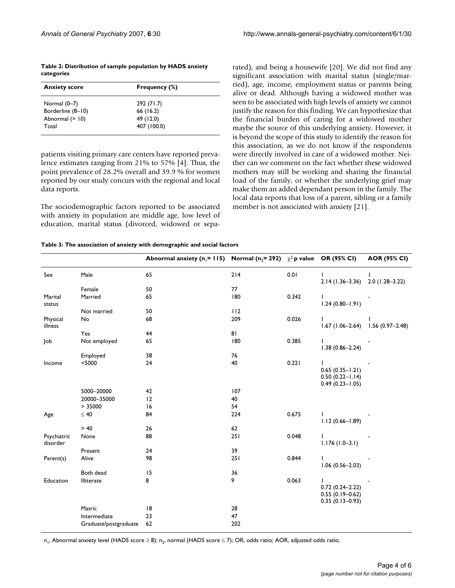**Table 2: Distribution of sample population by HADS anxiety categories**

| <b>Anxiety score</b> | Frequency (%) |  |
|----------------------|---------------|--|
| Normal $(0-7)$       | 292(71.7)     |  |
| Borderline (8-10)    | 66 (16.2)     |  |
| Abnormal $(>10)$     | 49 (12.0)     |  |
| Total                | 407 (100.0)   |  |

patients visiting primary care centers have reported prevalence estimates ranging from 21% to 57% [4]. Thus, the point prevalence of 28.2% overall and 39.9 % for women reported by our study concurs with the regional and local data reports.

The sociodemographic factors reported to be associated with anxiety in population are middle age, low level of education, marital status (divorced, widowed or separated), and being a housewife [20]. We did not find any significant association with marital status (single/married), age, income, employment status or parents being alive or dead. Although having a widowed mother was seen to be associated with high levels of anxiety we cannot justify the reason for this finding. We can hypothesize that the financial burden of caring for a widowed mother maybe the source of this underlying anxiety. However, it is beyond the scope of this study to identify the reason for this association, as we do not know if the respondents were directly involved in care of a widowed mother. Neither can we comment on the fact whether these widowed mothers may still be working and sharing the financial load of the family, or whether the underlying grief may make them an added dependant person in the family. The local data reports that loss of a parent, sibling or a family member is not associated with anxiety [21].

**Table 3: The association of anxiety with demographic and social factors**

|                         |                       | Abnormal anxiety (n <sub>1</sub> =115) Normal (n <sub>2</sub> =292) $\chi^2$ p value OR (95% CI) |     |       |                                                                   | <b>AOR (95% CI)</b> |
|-------------------------|-----------------------|--------------------------------------------------------------------------------------------------|-----|-------|-------------------------------------------------------------------|---------------------|
| Sex                     | Male                  | 65                                                                                               | 214 | 0.01  | $2.14(1.36 - 3.36)$                                               | $2.0(1.28 - 3.22)$  |
|                         | Female                | 50                                                                                               | 77  |       |                                                                   |                     |
| Marital<br>status       | Married               | 65                                                                                               | 180 | 0.342 | L<br>$1.24(0.80 - 1.91)$                                          |                     |
|                         | Not married           | 50                                                                                               | 112 |       |                                                                   |                     |
| Physical<br>illness     | No                    | 68                                                                                               | 209 | 0.026 | $1.67(1.06 - 2.64)$                                               | $1.56(0.97-2.48)$   |
|                         | Yes                   | 44                                                                                               | 81  |       |                                                                   |                     |
| Job                     | Not employed          | 65                                                                                               | 180 | 0.385 | $1.38(0.86 - 2.24)$                                               |                     |
|                         | Employed              | 38                                                                                               | 76  |       |                                                                   |                     |
| Income                  | $5000$                | 24                                                                                               | 40  | 0.221 | $0.65(0.35 - 1.21)$<br>$0.50(0.22 - 1.14)$<br>$0.49(0.23 - 1.05)$ |                     |
|                         | 5000-20000            | 42                                                                                               | 107 |       |                                                                   |                     |
|                         | 20000-35000           | 12                                                                                               | 40  |       |                                                                   |                     |
|                         | > 35000               | 16                                                                                               | 54  |       |                                                                   |                     |
| Age                     | $\leq 40$             | 84                                                                                               | 224 | 0.675 | $1.12(0.66 - 1.89)$                                               |                     |
|                         | > 40                  | 26                                                                                               | 62  |       |                                                                   |                     |
| Psychiatric<br>disorder | None                  | 88                                                                                               | 251 | 0.048 | $1.176(1.0-3.1)$                                                  |                     |
|                         | Present               | 24                                                                                               | 39  |       |                                                                   |                     |
| Parent(s)               | Alive                 | 98                                                                                               | 251 | 0.844 | $1.06(0.56 - 2.03)$                                               |                     |
|                         | Both dead             | 15                                                                                               | 36  |       |                                                                   |                     |
| Education               | Illiterate            | 8                                                                                                | 9   | 0.063 | $0.72(0.24 - 2.22)$<br>$0.55(0.19 - 0.62)$<br>$0.35(0.13 - 0.93)$ |                     |
|                         | Matric                | 8                                                                                                | 28  |       |                                                                   |                     |
|                         | Intermediate          | 23                                                                                               | 47  |       |                                                                   |                     |
|                         | Graduate/postgraduate | 62                                                                                               | 202 |       |                                                                   |                     |

n<sub>1</sub>, Abnormal anxiety level (HADS score ≥ 8); n<sub>2</sub>, normal (HADS score ≤ 7); OR, odds ratio; AOR, adjusted odds ratio.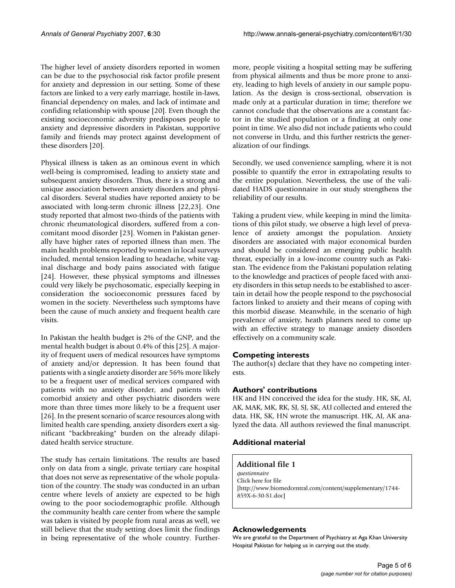The higher level of anxiety disorders reported in women can be due to the psychosocial risk factor profile present for anxiety and depression in our setting. Some of these factors are linked to a very early marriage, hostile in-laws, financial dependency on males, and lack of intimate and confiding relationship with spouse [20]. Even though the existing socioeconomic adversity predisposes people to anxiety and depressive disorders in Pakistan, supportive family and friends may protect against development of these disorders [20].

Physical illness is taken as an ominous event in which well-being is compromised, leading to anxiety state and subsequent anxiety disorders. Thus, there is a strong and unique association between anxiety disorders and physical disorders. Several studies have reported anxiety to be associated with long-term chronic illness [22,23]. One study reported that almost two-thirds of the patients with chronic rheumatological disorders, suffered from a concomitant mood disorder [23]. Women in Pakistan generally have higher rates of reported illness than men. The main health problems reported by women in local surveys included, mental tension leading to headache, white vaginal discharge and body pains associated with fatigue [24]. However, these physical symptoms and illnesses could very likely be psychosomatic, especially keeping in consideration the socioeconomic pressures faced by women in the society. Nevertheless such symptoms have been the cause of much anxiety and frequent health care visits.

In Pakistan the health budget is 2% of the GNP, and the mental health budget is about 0.4% of this [25]. A majority of frequent users of medical resources have symptoms of anxiety and/or depression. It has been found that patients with a single anxiety disorder are 56% more likely to be a frequent user of medical services compared with patients with no anxiety disorder, and patients with comorbid anxiety and other psychiatric disorders were more than three times more likely to be a frequent user [26]. In the present scenario of scarce resources along with limited health care spending, anxiety disorders exert a significant "backbreaking" burden on the already dilapidated health service structure.

The study has certain limitations. The results are based only on data from a single, private tertiary care hospital that does not serve as representative of the whole population of the country. The study was conducted in an urban centre where levels of anxiety are expected to be high owing to the poor sociodemographic profile. Although the community health care center from where the sample was taken is visited by people from rural areas as well, we still believe that the study setting does limit the findings in being representative of the whole country. Furthermore, people visiting a hospital setting may be suffering from physical ailments and thus be more prone to anxiety, leading to high levels of anxiety in our sample population. As the design is cross-sectional, observation is made only at a particular duration in time; therefore we cannot conclude that the observations are a constant factor in the studied population or a finding at only one point in time. We also did not include patients who could not converse in Urdu, and this further restricts the generalization of our findings.

Secondly, we used convenience sampling, where it is not possible to quantify the error in extrapolating results to the entire population. Nevertheless, the use of the validated HADS questionnaire in our study strengthens the reliability of our results.

Taking a prudent view, while keeping in mind the limitations of this pilot study, we observe a high level of prevalence of anxiety amongst the population. Anxiety disorders are associated with major economical burden and should be considered an emerging public health threat, especially in a low-income country such as Pakistan. The evidence from the Pakistani population relating to the knowledge and practices of people faced with anxiety disorders in this setup needs to be established to ascertain in detail how the people respond to the psychosocial factors linked to anxiety and their means of coping with this morbid disease. Meanwhile, in the scenario of high prevalence of anxiety, heath planners need to come up with an effective strategy to manage anxiety disorders effectively on a community scale.

# **Competing interests**

The author(s) declare that they have no competing interests.

# **Authors' contributions**

HK and HN conceived the idea for the study. HK, SK, AI, AK, MAK, MK, RK, SJ, SJ, SK, AU collected and entered the data. HK, SK, HN wrote the manuscript. HK, AI, AK analyzed the data. All authors reviewed the final manuscript.

# **Additional material**

**Additional file 1** *questionnaire* Click here for file [\[http://www.biomedcentral.com/content/supplementary/1744-](http://www.biomedcentral.com/content/supplementary/1744-859X-6-30-S1.doc) 859X-6-30-S1.doc]

### **Acknowledgements**

We are grateful to the Department of Psychiatry at Aga Khan University Hospital Pakistan for helping us in carrying out the study.